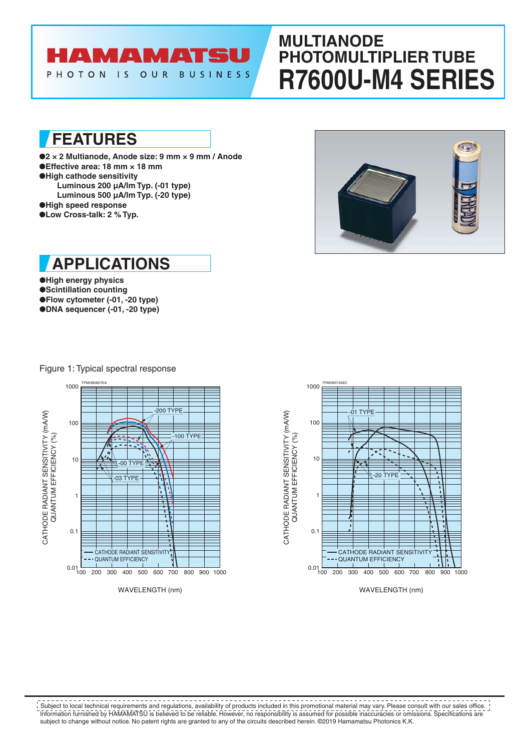# **AMAMATS**

PHOTON IS OUR **BUSINESS** 

## **MULTIANODE PHOTOMULTIPLIER TUBE R7600U-M4 SERIES**

**FEATURES**

●**2 × 2 Multianode, Anode size: 9 mm × 9 mm / Anode** ●**Effective area: 18 mm × 18 mm** ●**High cathode sensitivity Luminous 200 µA/lm Typ. (-01 type) Luminous 500 µA/lm Typ. (-20 type)** ●**High speed response** ●**Low Cross-talk: 2 % Typ.**





●**High energy physics** ●**Scintillation counting** ●**Flow cytometer (-01, -20 type)** ●**DNA sequencer (-01, -20 type)**

Figure 1: Typical spectral response





WAVELENGTH (nm)

Information furnished by HAMAMATSU is believed to be reliable. However, no responsibility is assumed for possible inaccuracies or omissions. Specifications are subject to change without notice. No patent rights are granted to any of the circuits described herein. ©2019 Hamamatsu Photonics K.K. Subject to local technical requirements and regulations, availability of products included in this promotional material may vary. Please consult with our sales office.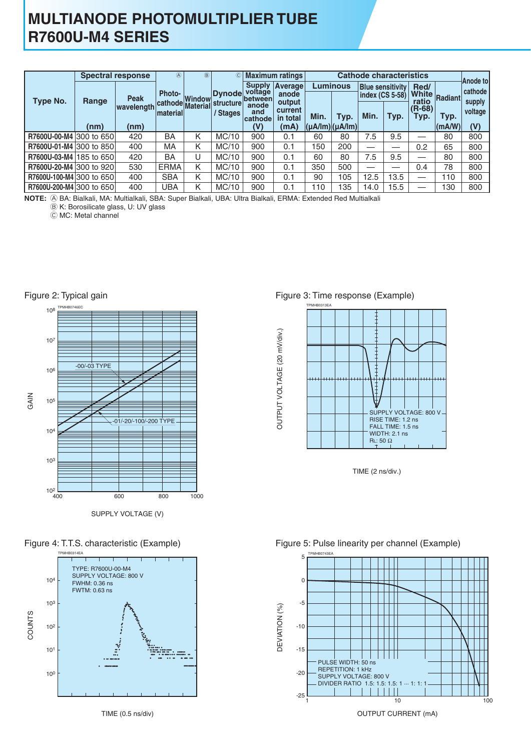## **MULTIANODE PHOTOMULTIPLIER TUBE R7600U-M4 SERIES**

|                          | <b>Spectral response</b> |             | $\mathbb{A}$  | (B)                           | $^\copyright$       |                                             | <b>Maximum ratings</b>        |                                             |                 |      |                                            |                |               |                     |
|--------------------------|--------------------------|-------------|---------------|-------------------------------|---------------------|---------------------------------------------|-------------------------------|---------------------------------------------|-----------------|------|--------------------------------------------|----------------|---------------|---------------------|
| Type No.                 | Range                    | <b>Peak</b> | <b>Photo-</b> | Dynode<br>Window              |                     | <b>Supply</b><br>voltage<br><b>lbetween</b> | Average<br>anode              |                                             | <b>Luminous</b> |      | <b>Blue sensitivity</b><br>index (CS 5-58) | Red/<br>ratio  | White Radiant | Anode to<br>cathode |
|                          |                          | wavelength  | material      | cathode Material <sup>l</sup> | structure<br>Stages | anode<br>and<br>cathode                     | output<br>current<br>in total | Min.                                        | Typ.            | Min. | Typ.                                       | (R-68)<br>Typ. | Typ.          | supply<br>voltage   |
|                          | (nm)                     | (nm)        |               |                               |                     | (V)                                         | (mA)                          | $ (\mu A / \text{Im}) (\mu A / \text{Im}) $ |                 |      |                                            |                | (mA/W)        | (V)                 |
| R7600U-00-M4 300 to 650  |                          | 420         | BA            | Κ                             | MC/10               | 900                                         | 0.1                           | 60                                          | 80              | 7.5  | 9.5                                        | __             | 80            | 800                 |
| R7600U-01-M4 300 to 850  |                          | 400         | МA            | Κ                             | MC/10               | 900                                         | 0.1                           | 50                                          | 200             |      | —                                          | 0.2            | 65            | 800                 |
| R7600U-03-M4 185 to 650  |                          | 420         | BA            | J                             | MC/10               | 900                                         | 0.1                           | 60                                          | 80              | 7.5  | 9.5                                        |                | 80            | 800                 |
| R7600U-20-M4 300 to 920  |                          | 530         | <b>ERMA</b>   | Κ                             | MC/10               | 900                                         | 0.1                           | 350                                         | 500             |      |                                            | 0.4            | 78            | 800                 |
| R7600U-100-M4 300 to 650 |                          | 400         | <b>SBA</b>    | Κ                             | MC/10               | 900                                         | 0.1                           | 90                                          | 105             | 12.5 | 13.5                                       |                | 110           | 800                 |
| R7600U-200-M4 300 to 650 |                          | 400         | UBA           | Κ                             | MC/10               | 900                                         | 0.1                           | 10                                          | 135             | 14.0 | 15.5                                       |                | 130           | 800                 |

A BA: Bialkali, MA: Multialkali, SBA: Super Bialkali, UBA: Ultra Bialkali, ERMA: Extended Red Multialkali **NOTE:**

 $B$  K: Borosilicate glass, U: UV glass

C MC: Metal channel



SUPPLY VOLTAGE (V)





### Figure 3: Time response (Example)



TIME (2 ns/div.)

### Figure 5: Pulse linearity per channel (Example)



OUTPUT CURRENT (mA)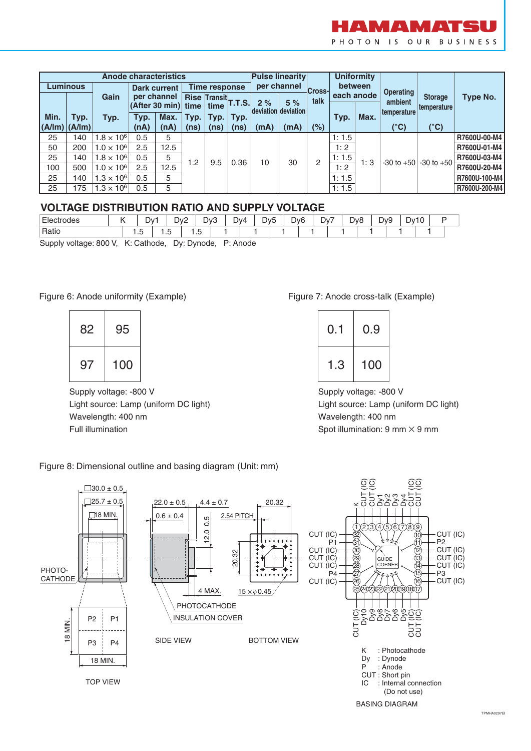

|                           | <b>Anode characteristics</b> |                     |                             |             | <b>Pulse linearity</b> |                      |               |                     | <b>Uniformity</b> |      |               |            |                |                  |               |  |
|---------------------------|------------------------------|---------------------|-----------------------------|-------------|------------------------|----------------------|---------------|---------------------|-------------------|------|---------------|------------|----------------|------------------|---------------|--|
|                           | Luminous                     |                     | <b>Dark current</b>         |             |                        |                      | Time response |                     | per channel       |      | <b>Cross-</b> | between    |                | <b>Operating</b> |               |  |
|                           |                              | Gain                |                             | per channel |                        | <b>Rise TransitL</b> | <b>T.T.S.</b> | 2%                  | 5%                | talk |               | each anode | ambient        | <b>Storage</b>   | Type No.      |  |
| Min.                      |                              |                     | $ $ (After 30 min) $ $ time | Max.        | Typ.                   | time<br>Typ.         | Typ.          | deviation deviation |                   |      | Typ.          | Max.       | temperature    | temperature      |               |  |
| $ $ (A/lm) $ $ (A/lm) $ $ | Typ.                         | Typ.                | Typ.<br>(nA)                | (nA)        | (ns)                   | (ns)                 | (ns)          | (mA)                | (mA)              | (%)  |               |            | (°C)           | (°C)             |               |  |
| 25                        | 140                          | $1.8 \times 10^6$   | 0.5                         | 5           |                        |                      |               |                     |                   |      | 1:1.5         |            |                |                  | R7600U-00-M4  |  |
| 50                        | 200                          | $1.0 \times 10^{6}$ | 2.5                         | 12.5        |                        |                      |               |                     |                   |      | 1:2           |            |                |                  | R7600U-01-M4  |  |
| 25                        | 140                          | $1.8 \times 10^6$   | 0.5                         | 5           | 1.2                    | 9.5                  | 0.36          | 10                  | 30                | 2    | 1:1.5         | 1:3        | $-30$ to $+50$ | $-30$ to $+50$   | R7600U-03-M4  |  |
| 100                       | 500                          | $1.0 \times 10^{6}$ | 2.5                         | 12.5        |                        |                      |               |                     |                   |      | 1:2           |            |                |                  | R7600U-20-M4  |  |
| 25                        | 140                          | $1.3 \times 10^6$   | 0.5                         | 5           |                        |                      |               |                     |                   |      | 1:1.5         |            |                |                  | R7600U-100-M4 |  |
| 25                        | 175                          | $1.3 \times 10^6$   | 0.5                         | 5           |                        |                      |               |                     |                   |      | 1:1.5         |            |                |                  | R7600U-200-M4 |  |

### **VOLTAGE DISTRIBUTION RATIO AND SUPPLY VOLTAGE**

| Electr<br>ctrodes |     | Dv:                         |                  | Dv2<br>′′ | D <sub>v</sub> 3                    |   | Dv4             | Dv5 | D <sub>v</sub> 6 | Dv.<br>- | D <sub>v</sub> 8 | ້ | Dv9 | Dv10 | 1 V |  |
|-------------------|-----|-----------------------------|------------------|-----------|-------------------------------------|---|-----------------|-----|------------------|----------|------------------|---|-----|------|-----|--|
| Ratio             | ں ، | $\overline{\phantom{0}}$    | $\cdot$ . $\cup$ | ں ،       | $\overline{\phantom{a}}$            |   |                 |     |                  |          |                  |   |     |      |     |  |
| 0.00011           |     | $1/2$ $\cap$ $-1$ $-1$ $-1$ |                  |           | $D_1 \cup D_2 \cup \ldots \cup D_n$ | - | <b>D.A.J.J.</b> |     |                  |          |                  |   |     |      |     |  |

Supply voltage: 800 V, K: Cathode, Dy: Dynode, P: Anode

### Figure 6: Anode uniformity (Example)

| 82 | 95  |
|----|-----|
| 97 | 100 |

Supply voltage: -800 V Light source: Lamp (uniform DC light) Wavelength: 400 nm Full illumination

### Figure 7: Anode cross-talk (Example)

| 0.1 | 0.9 |
|-----|-----|
| 1.3 | 100 |

Supply voltage: -800 V Light source: Lamp (uniform DC light) Wavelength: 400 nm Spot illumination:  $9 \text{ mm} \times 9 \text{ mm}$ 

Figure 8: Dimensional outline and basing diagram (Unit: mm)